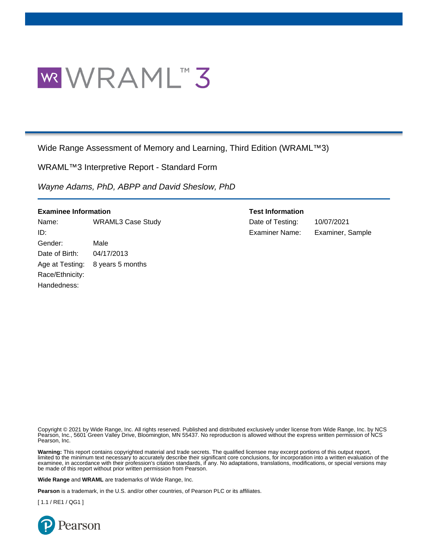

Wide Range Assessment of Memory and Learning, Third Edition (WRAML™3)

WRAML™3 Interpretive Report - Standard Form

*Wayne Adams, PhD, ABPP and David Sheslow, PhD*

| <b>Examinee Information</b> |
|-----------------------------|
|-----------------------------|

Name: WRAML3 Case Study Date of Testing: 10/07/2021 ID: Examiner Name: Examiner, Sample Gender: Male Date of Birth: 04/17/2013 Age at Testing: 8 years 5 months Race/Ethnicity: Handedness:

### **Test Information**

Copyright © 2021 by Wide Range, Inc. All rights reserved. Published and distributed exclusively under license from Wide Range, Inc. by NCS Pearson, Inc., 5601 Green Valley Drive, Bloomington, MN 55437. No reproduction is allowed without the express written permission of NCS Pearson, Inc.

**Warning:** This report contains copyrighted material and trade secrets. The qualified licensee may excerpt portions of this output report, limited to the minimum text necessary to accurately describe their significant core conclusions, for incorporation into a written evaluation of the examinee, in accordance with their profession's citation standards, if any. No adaptations, translations, modifications, or special versions may be made of this report without prior written permission from Pearson.

**Wide Range** and **WRAML** are trademarks of Wide Range, Inc.

**Pearson** is a trademark, in the U.S. and/or other countries, of Pearson PLC or its affiliates.

[ 1.1 / RE1 / QG1 ]

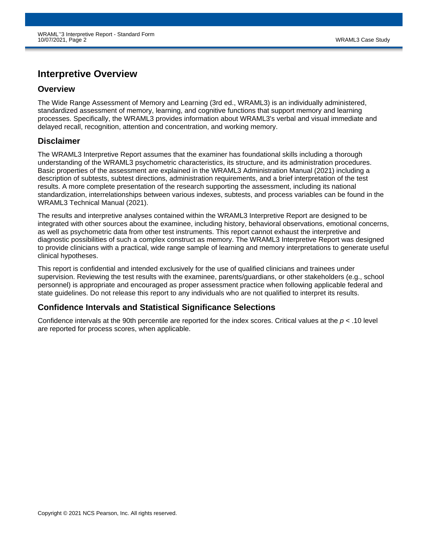# **Interpretive Overview**

### **Overview**

The Wide Range Assessment of Memory and Learning (3rd ed., WRAML3) is an individually administered, standardized assessment of memory, learning, and cognitive functions that support memory and learning processes. Specifically, the WRAML3 provides information about WRAML3's verbal and visual immediate and delayed recall, recognition, attention and concentration, and working memory.

### **Disclaimer**

The WRAML3 Interpretive Report assumes that the examiner has foundational skills including a thorough understanding of the WRAML3 psychometric characteristics, its structure, and its administration procedures. Basic properties of the assessment are explained in the WRAML3 Administration Manual (2021) including a description of subtests, subtest directions, administration requirements, and a brief interpretation of the test results. A more complete presentation of the research supporting the assessment, including its national standardization, interrelationships between various indexes, subtests, and process variables can be found in the WRAML3 Technical Manual (2021).

The results and interpretive analyses contained within the WRAML3 Interpretive Report are designed to be integrated with other sources about the examinee, including history, behavioral observations, emotional concerns, as well as psychometric data from other test instruments. This report cannot exhaust the interpretive and diagnostic possibilities of such a complex construct as memory. The WRAML3 Interpretive Report was designed to provide clinicians with a practical, wide range sample of learning and memory interpretations to generate useful clinical hypotheses.

This report is confidential and intended exclusively for the use of qualified clinicians and trainees under supervision. Reviewing the test results with the examinee, parents/guardians, or other stakeholders (e.g., school personnel) is appropriate and encouraged as proper assessment practice when following applicable federal and state guidelines. Do not release this report to any individuals who are not qualified to interpret its results.

### **Confidence Intervals and Statistical Significance Selections**

Confidence intervals at the 90th percentile are reported for the index scores. Critical values at the *p* < .10 level are reported for process scores, when applicable.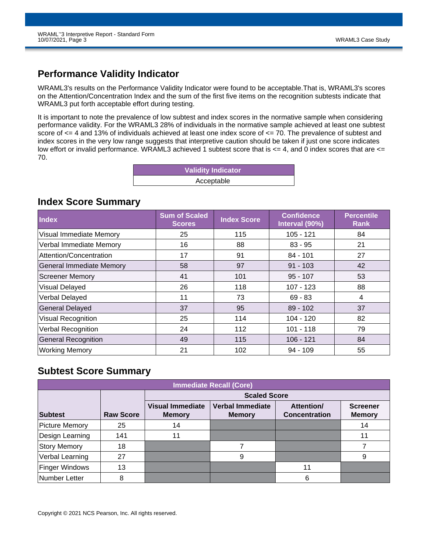# **Performance Validity Indicator**

WRAML3's results on the Performance Validity Indicator were found to be acceptable.That is, WRAML3's scores on the Attention/Concentration Index and the sum of the first five items on the recognition subtests indicate that WRAML3 put forth acceptable effort during testing.

It is important to note the prevalence of low subtest and index scores in the normative sample when considering performance validity. For the WRAML3 28% of individuals in the normative sample achieved at least one subtest score of <= 4 and 13% of individuals achieved at least one index score of <= 70. The prevalence of subtest and index scores in the very low range suggests that interpretive caution should be taken if just one score indicates low effort or invalid performance. WRAML3 achieved 1 subtest score that is  $\lt = 4$ , and 0 index scores that are  $\lt =$ 70.

| <b>Validity Indicator</b> |  |
|---------------------------|--|
| Acceptable                |  |

## **Index Score Summary**

| <b>Index</b>                    | <b>Sum of Scaled</b><br><b>Scores</b> | <b>Index Score</b> | <b>Confidence</b><br>Interval (90%) | <b>Percentile</b><br>Rank |
|---------------------------------|---------------------------------------|--------------------|-------------------------------------|---------------------------|
| <b>Visual Immediate Memory</b>  | 25                                    | 115                | $105 - 121$                         | 84                        |
| Verbal Immediate Memory         | 16                                    | 88                 | $83 - 95$                           | 21                        |
| Attention/Concentration         | 17                                    | 91                 | $84 - 101$                          | 27                        |
| <b>General Immediate Memory</b> | 58                                    | 97                 | $91 - 103$                          | 42                        |
| <b>Screener Memory</b>          | 41                                    | 101                | $95 - 107$                          | 53                        |
| Visual Delayed                  | 26                                    | 118                | $107 - 123$                         | 88                        |
| Verbal Delayed                  | 11                                    | 73                 | $69 - 83$                           | 4                         |
| <b>General Delayed</b>          | 37                                    | 95                 | $89 - 102$                          | 37                        |
| <b>Visual Recognition</b>       | 25                                    | 114                | $104 - 120$                         | 82                        |
| <b>Verbal Recognition</b>       | 24                                    | 112                | $101 - 118$                         | 79                        |
| <b>General Recognition</b>      | 49                                    | 115                | $106 - 121$                         | 84                        |
| <b>Working Memory</b>           | 21                                    | 102                | $94 - 109$                          | 55                        |

# **Subtest Score Summary**

| Immediate Recall (Core),    |     |                                          |                                          |                                           |                                  |  |  |  |  |  |  |  |  |
|-----------------------------|-----|------------------------------------------|------------------------------------------|-------------------------------------------|----------------------------------|--|--|--|--|--|--|--|--|
|                             |     | <b>Scaled Score</b>                      |                                          |                                           |                                  |  |  |  |  |  |  |  |  |
| Subtest<br><b>Raw Score</b> |     | <b>Visual Immediate</b><br><b>Memory</b> | <b>Verbal Immediate</b><br><b>Memory</b> | <b>Attention/</b><br><b>Concentration</b> | <b>Screener</b><br><b>Memory</b> |  |  |  |  |  |  |  |  |
| <b>Picture Memory</b>       | 25  | 14                                       |                                          |                                           | 14                               |  |  |  |  |  |  |  |  |
| Design Learning             | 141 | 11                                       |                                          |                                           | 11                               |  |  |  |  |  |  |  |  |
| <b>Story Memory</b>         | 18  |                                          |                                          |                                           |                                  |  |  |  |  |  |  |  |  |
| Verbal Learning             | 27  |                                          | 9                                        |                                           | 9                                |  |  |  |  |  |  |  |  |
| <b>Finger Windows</b>       | 13  |                                          |                                          |                                           |                                  |  |  |  |  |  |  |  |  |
| Number Letter               | 8   |                                          |                                          | 6                                         |                                  |  |  |  |  |  |  |  |  |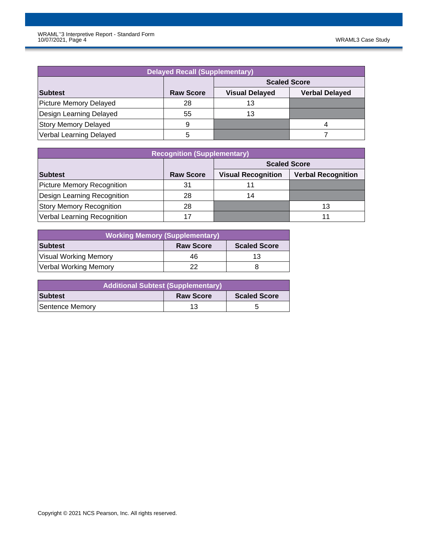| <b>Delayed Recall (Supplementary)</b> |                     |                       |                       |  |  |  |  |  |  |  |  |
|---------------------------------------|---------------------|-----------------------|-----------------------|--|--|--|--|--|--|--|--|
|                                       | <b>Scaled Score</b> |                       |                       |  |  |  |  |  |  |  |  |
| Subtest                               | <b>Raw Score</b>    | <b>Visual Delayed</b> | <b>Verbal Delayed</b> |  |  |  |  |  |  |  |  |
| Picture Memory Delayed                | 28                  | 13                    |                       |  |  |  |  |  |  |  |  |
| Design Learning Delayed               | 55                  | 13                    |                       |  |  |  |  |  |  |  |  |
| <b>Story Memory Delayed</b>           | 9                   |                       | 4                     |  |  |  |  |  |  |  |  |
| Verbal Learning Delayed               |                     |                       |                       |  |  |  |  |  |  |  |  |

| <b>Recognition (Supplementary)</b> |                     |                           |                           |  |  |  |  |  |  |  |  |
|------------------------------------|---------------------|---------------------------|---------------------------|--|--|--|--|--|--|--|--|
|                                    | <b>Scaled Score</b> |                           |                           |  |  |  |  |  |  |  |  |
| Subtest                            | <b>Raw Score</b>    | <b>Visual Recognition</b> | <b>Verbal Recognition</b> |  |  |  |  |  |  |  |  |
| Picture Memory Recognition         | 31                  |                           |                           |  |  |  |  |  |  |  |  |
| Design Learning Recognition        | 28                  | 14                        |                           |  |  |  |  |  |  |  |  |
| <b>Story Memory Recognition</b>    | 28                  |                           | 13                        |  |  |  |  |  |  |  |  |
| Verbal Learning Recognition        | 17                  |                           |                           |  |  |  |  |  |  |  |  |

| <b>Working Memory (Supplementary)</b> |                  |                     |  |  |  |  |  |  |  |  |
|---------------------------------------|------------------|---------------------|--|--|--|--|--|--|--|--|
| Subtest                               | <b>Raw Score</b> | <b>Scaled Score</b> |  |  |  |  |  |  |  |  |
| Visual Working Memory                 | 46               | 13                  |  |  |  |  |  |  |  |  |
| Verbal Working Memory                 | 22               |                     |  |  |  |  |  |  |  |  |

| Additional Subtest (Supplementary) |                  |                     |  |  |  |  |  |  |  |
|------------------------------------|------------------|---------------------|--|--|--|--|--|--|--|
| <b>Subtest</b>                     | <b>Raw Score</b> | <b>Scaled Score</b> |  |  |  |  |  |  |  |
| Sentence Memory                    | 13               |                     |  |  |  |  |  |  |  |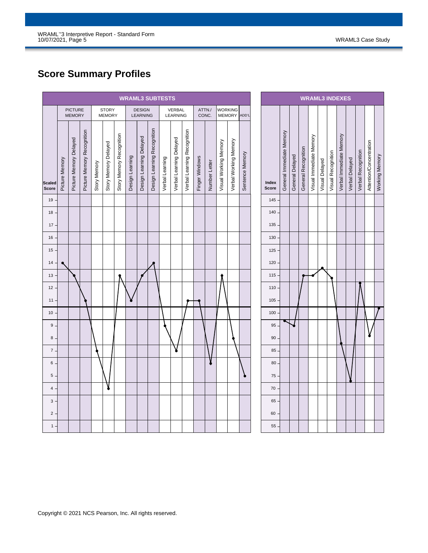# **Score Summary Profiles**

| <b>WRAML3 SUBTESTS</b>        |                |                                 |                            |              |                               |                          |                 |                           |                             |                 |                           |                             |                |                 |                       |                       |                 |
|-------------------------------|----------------|---------------------------------|----------------------------|--------------|-------------------------------|--------------------------|-----------------|---------------------------|-----------------------------|-----------------|---------------------------|-----------------------------|----------------|-----------------|-----------------------|-----------------------|-----------------|
|                               |                | <b>PICTURE</b><br><b>MEMORY</b> |                            |              | <b>STORY</b><br><b>MEMORY</b> |                          |                 | <b>DESIGN</b><br>LEARNING |                             |                 | <b>VERBAL</b><br>LEARNING |                             |                | ATTN./<br>CONC. | <b>WORKING</b>        | MEMORY ADD'L          |                 |
| <b>Scaled</b><br><b>Score</b> | Picture Memory | Picture Memory Delayed          | Picture Memory Recognition | Story Memory | Story Memory Delayed          | Story Memory Recognition | Design Learning | Design Learning Delayed   | Design Learning Recognition | Verbal Learning | Verbal Learning Delayed   | Verbal Learning Recognition | Finger Windows | Number Letter   | Visual Working Memory | Verbal Working Memory | Sentence Memory |
| $19 -$                        |                |                                 |                            |              |                               |                          |                 |                           |                             |                 |                           |                             |                |                 |                       |                       |                 |
| $18 -$                        |                |                                 |                            |              |                               |                          |                 |                           |                             |                 |                           |                             |                |                 |                       |                       |                 |
| $17 -$                        |                |                                 |                            |              |                               |                          |                 |                           |                             |                 |                           |                             |                |                 |                       |                       |                 |
| $16 -$                        |                |                                 |                            |              |                               |                          |                 |                           |                             |                 |                           |                             |                |                 |                       |                       |                 |
| $15 -$                        |                |                                 |                            |              |                               |                          |                 |                           |                             |                 |                           |                             |                |                 |                       |                       |                 |
| $14 -$                        |                |                                 |                            |              |                               |                          |                 |                           |                             |                 |                           |                             |                |                 |                       |                       |                 |
| 13 <sup>°</sup>               |                |                                 |                            |              |                               |                          |                 |                           |                             |                 |                           |                             |                |                 |                       |                       |                 |
| $12 -$<br>$11 -$              |                |                                 |                            |              |                               |                          |                 |                           |                             |                 |                           |                             |                |                 |                       |                       |                 |
| $10 -$                        |                |                                 |                            |              |                               |                          |                 |                           |                             |                 |                           |                             |                |                 |                       |                       |                 |
| $9 -$                         |                |                                 |                            |              |                               |                          |                 |                           |                             |                 |                           |                             |                |                 |                       |                       |                 |
| 8.                            |                |                                 |                            |              |                               |                          |                 |                           |                             |                 |                           |                             |                |                 |                       |                       |                 |
| $7$ .                         |                |                                 |                            |              |                               |                          |                 |                           |                             |                 |                           |                             |                |                 |                       |                       |                 |
| 6.                            |                |                                 |                            |              |                               |                          |                 |                           |                             |                 |                           |                             |                |                 |                       |                       |                 |
| $5\,$ .                       |                |                                 |                            |              |                               |                          |                 |                           |                             |                 |                           |                             |                |                 |                       |                       |                 |
| $4$ .                         |                |                                 |                            |              |                               |                          |                 |                           |                             |                 |                           |                             |                |                 |                       |                       |                 |
| $3 -$                         |                |                                 |                            |              |                               |                          |                 |                           |                             |                 |                           |                             |                |                 |                       |                       |                 |
| 2 <sup>1</sup>                |                |                                 |                            |              |                               |                          |                 |                           |                             |                 |                           |                             |                |                 |                       |                       |                 |
| $1 -$                         |                |                                 |                            |              |                               |                          |                 |                           |                             |                 |                           |                             |                |                 |                       |                       |                 |

| <b>WRAML3 INDEXES</b> |                          |                 |                     |                         |                |                    |                         |                |                    |                         |                |
|-----------------------|--------------------------|-----------------|---------------------|-------------------------|----------------|--------------------|-------------------------|----------------|--------------------|-------------------------|----------------|
| Index<br>Score        | General Immediate Memory | General Delayed | General Recognition | Visual Immediate Memory | Visual Delayed | Visual Recognition | Verbal Immediate Memory | Verbal Delayed | Verbal Recognition | Attention/Concentration | Working Memory |
| 145                   |                          |                 |                     |                         |                |                    |                         |                |                    |                         |                |
| 140                   |                          |                 |                     |                         |                |                    |                         |                |                    |                         |                |
| 135                   |                          |                 |                     |                         |                |                    |                         |                |                    |                         |                |
| 130                   |                          |                 |                     |                         |                |                    |                         |                |                    |                         |                |
| 125                   |                          |                 |                     |                         |                |                    |                         |                |                    |                         |                |
| 120                   |                          |                 |                     |                         |                |                    |                         |                |                    |                         |                |
| 115                   |                          |                 |                     |                         |                |                    |                         |                |                    |                         |                |
| 110                   |                          |                 |                     |                         |                |                    |                         |                |                    |                         |                |
| 105                   |                          |                 |                     |                         |                |                    |                         |                |                    |                         |                |
| 100                   |                          |                 |                     |                         |                |                    |                         |                |                    |                         |                |
| 95                    |                          |                 |                     |                         |                |                    |                         |                |                    |                         |                |
| 90                    |                          |                 |                     |                         |                |                    |                         |                |                    |                         |                |
| 85                    |                          |                 |                     |                         |                |                    |                         |                |                    |                         |                |
| 80                    |                          |                 |                     |                         |                |                    |                         |                |                    |                         |                |
| 75                    |                          |                 |                     |                         |                |                    |                         |                |                    |                         |                |
| 70                    |                          |                 |                     |                         |                |                    |                         |                |                    |                         |                |
| 65                    |                          |                 |                     |                         |                |                    |                         |                |                    |                         |                |
| 60                    |                          |                 |                     |                         |                |                    |                         |                |                    |                         |                |
| 55                    |                          |                 |                     |                         |                |                    |                         |                |                    |                         |                |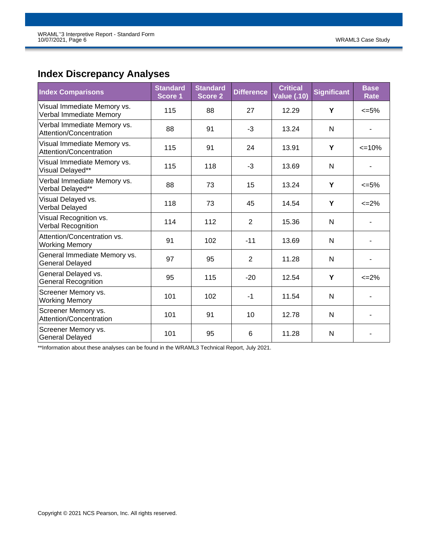# **Index Discrepancy Analyses**

| <b>Index Comparisons</b>                               | <b>Standard</b><br>Score 1 | <b>Standard</b><br><b>Score 2</b> | <b>Difference</b> | <b>Critical</b><br><b>Value (.10)</b> | <b>Significant</b> | <b>Base</b><br><b>Rate</b> |
|--------------------------------------------------------|----------------------------|-----------------------------------|-------------------|---------------------------------------|--------------------|----------------------------|
| Visual Immediate Memory vs.<br>Verbal Immediate Memory | 115                        | 88                                | 27                | 12.29                                 | Y                  | $<=5\%$                    |
| Verbal Immediate Memory vs.<br>Attention/Concentration | 88                         | 91                                | -3                | 13.24                                 | N                  |                            |
| Visual Immediate Memory vs.<br>Attention/Concentration | 115                        | 91                                | 24                | 13.91                                 | Y                  | $\leq$ 10%                 |
| Visual Immediate Memory vs.<br>Visual Delayed**        | 115                        | 118                               | -3                | 13.69                                 | N                  |                            |
| Verbal Immediate Memory vs.<br>Verbal Delayed**        | 88                         | 73                                | 15                | 13.24                                 | Y                  | $<=5\%$                    |
| Visual Delayed vs.<br>Verbal Delayed                   | 118                        | 73                                | 45                | 14.54                                 | Y                  | $\leq$ 2%                  |
| Visual Recognition vs.<br>Verbal Recognition           | 114                        | 112                               | $\overline{2}$    | 15.36                                 | N                  |                            |
| Attention/Concentration vs.<br><b>Working Memory</b>   | 91                         | 102                               | $-11$             | 13.69                                 | N                  |                            |
| General Immediate Memory vs.<br><b>General Delayed</b> | 97                         | 95                                | $\overline{2}$    | 11.28                                 | N                  |                            |
| General Delayed vs.<br><b>General Recognition</b>      | 95                         | 115                               | $-20$             | 12.54                                 | Y                  | $\leq$ 2%                  |
| Screener Memory vs.<br><b>Working Memory</b>           | 101                        | 102                               | $-1$              | 11.54                                 | N                  |                            |
| Screener Memory vs.<br>Attention/Concentration         | 101                        | 91                                | 10                | 12.78                                 | N                  |                            |
| Screener Memory vs.<br><b>General Delayed</b>          | 101                        | 95                                | 6                 | 11.28                                 | N                  |                            |

\*\*Information about these analyses can be found in the WRAML3 Technical Report, July 2021.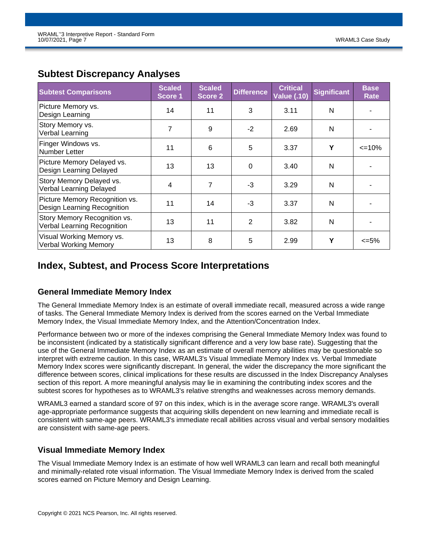| <b>Subtest Comparisons</b>                                    | <b>Scaled</b><br>Score 1 | <b>Scaled</b><br><b>Score 2</b> | <b>Difference</b> | <b>Critical</b><br><b>Value (.10)</b> | <b>Significant</b> | <b>Base</b><br>Rate |
|---------------------------------------------------------------|--------------------------|---------------------------------|-------------------|---------------------------------------|--------------------|---------------------|
| Picture Memory vs.<br>Design Learning                         | 14                       | 11                              | 3                 | 3.11                                  | N                  |                     |
| Story Memory vs.<br>Verbal Learning                           | 7                        | 9                               | $-2$              | 2.69                                  | $\mathsf{N}$       |                     |
| Finger Windows vs.<br>Number Letter                           | 11                       | 6                               | 5                 | 3.37                                  | Υ                  | $\leq$ 10%          |
| Picture Memory Delayed vs.<br>Design Learning Delayed         | 13                       | 13                              | $\Omega$          | 3.40                                  | N                  |                     |
| Story Memory Delayed vs.<br>Verbal Learning Delayed           | 4                        | $\overline{7}$                  | $-3$              | 3.29                                  | N                  |                     |
| Picture Memory Recognition vs.<br>Design Learning Recognition | 11                       | 14                              | $-3$              | 3.37                                  | N                  |                     |
| Story Memory Recognition vs.<br>Verbal Learning Recognition   | 13                       | 11                              | 2                 | 3.82                                  | N                  |                     |
| Visual Working Memory vs.<br><b>Verbal Working Memory</b>     | 13                       | 8                               | 5                 | 2.99                                  | Y                  | <=5%                |

## **Subtest Discrepancy Analyses**

# **Index, Subtest, and Process Score Interpretations**

### **General Immediate Memory Index**

The General Immediate Memory Index is an estimate of overall immediate recall, measured across a wide range of tasks. The General Immediate Memory Index is derived from the scores earned on the Verbal Immediate Memory Index, the Visual Immediate Memory Index, and the Attention/Concentration Index.

Performance between two or more of the indexes comprising the General Immediate Memory Index was found to be inconsistent (indicated by a statistically significant difference and a very low base rate). Suggesting that the use of the General Immediate Memory Index as an estimate of overall memory abilities may be questionable so interpret with extreme caution. In this case, WRAML3's Visual Immediate Memory Index vs. Verbal Immediate Memory Index scores were significantly discrepant. In general, the wider the discrepancy the more significant the difference between scores, clinical implications for these results are discussed in the Index Discrepancy Analyses section of this report. A more meaningful analysis may lie in examining the contributing index scores and the subtest scores for hypotheses as to WRAML3's relative strengths and weaknesses across memory demands.

WRAML3 earned a standard score of 97 on this index, which is in the average score range. WRAML3's overall age-appropriate performance suggests that acquiring skills dependent on new learning and immediate recall is consistent with same-age peers. WRAML3's immediate recall abilities across visual and verbal sensory modalities are consistent with same-age peers.

### **Visual Immediate Memory Index**

The Visual Immediate Memory Index is an estimate of how well WRAML3 can learn and recall both meaningful and minimally-related rote visual information. The Visual Immediate Memory Index is derived from the scaled scores earned on Picture Memory and Design Learning.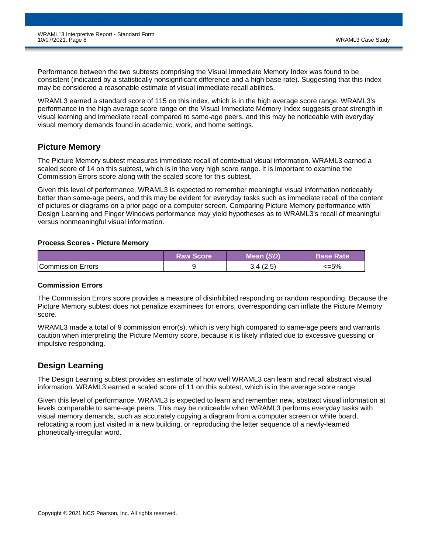Performance between the two subtests comprising the Visual Immediate Memory Index was found to be consistent (indicated by a statistically nonsignificant difference and a high base rate). Suggesting that this index may be considered a reasonable estimate of visual immediate recall abilities.

WRAML3 earned a standard score of 115 on this index, which is in the high average score range. WRAML3's performance in the high average score range on the Visual Immediate Memory Index suggests great strength in visual learning and immediate recall compared to same-age peers, and this may be noticeable with everyday visual memory demands found in academic, work, and home settings.

### **Picture Memory**

The Picture Memory subtest measures immediate recall of contextual visual information. WRAML3 earned a scaled score of 14 on this subtest, which is in the very high score range. It is important to examine the Commission Errors score along with the scaled score for this subtest.

Given this level of performance, WRAML3 is expected to remember meaningful visual information noticeably better than same-age peers, and this may be evident for everyday tasks such as immediate recall of the content of pictures or diagrams on a prior page or a computer screen. Comparing Picture Memory performance with Design Learning and Finger Windows performance may yield hypotheses as to WRAML3's recall of meaningful versus nonmeaningful visual information.

#### **Process Scores - Picture Memory**

|                   | <b>Raw Score</b> | Mean (SD) | <b>Base Rate</b> |
|-------------------|------------------|-----------|------------------|
| Commission Errors |                  |           | <=5%             |

### **Commission Errors**

The Commission Errors score provides a measure of disinhibited responding or random responding. Because the Picture Memory subtest does not penalize examinees for errors, overresponding can inflate the Picture Memory score.

WRAML3 made a total of 9 commission error(s), which is very high compared to same-age peers and warrants caution when interpreting the Picture Memory score, because it is likely inflated due to excessive guessing or impulsive responding.

### **Design Learning**

The Design Learning subtest provides an estimate of how well WRAML3 can learn and recall abstract visual information. WRAML3 earned a scaled score of 11 on this subtest, which is in the average score range.

Given this level of performance, WRAML3 is expected to learn and remember new, abstract visual information at levels comparable to same-age peers. This may be noticeable when WRAML3 performs everyday tasks with visual memory demands, such as accurately copying a diagram from a computer screen or white board, relocating a room just visited in a new building, or reproducing the letter sequence of a newly-learned phonetically-irregular word.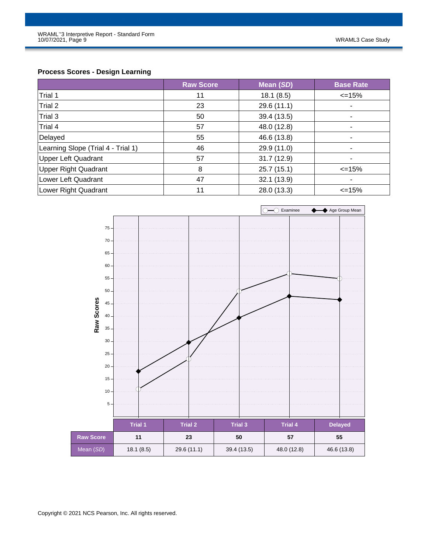### **Process Scores - Design Learning**

|                                    | <b>Raw Score</b> | Mean (SD)   | <b>Base Rate</b> |
|------------------------------------|------------------|-------------|------------------|
| Trial 1                            | 11               | 18.1(8.5)   | $\leq$ 15%       |
| Trial 2                            | 23               | 29.6 (11.1) | ۰                |
| Trial 3                            | 50               | 39.4 (13.5) | $\blacksquare$   |
| Trial 4                            | 57               | 48.0 (12.8) | ٠                |
| Delayed                            | 55               | 46.6 (13.8) | -                |
| Learning Slope (Trial 4 - Trial 1) | 46               | 29.9 (11.0) | $\blacksquare$   |
| <b>Upper Left Quadrant</b>         | 57               | 31.7(12.9)  | ٠                |
| <b>Upper Right Quadrant</b>        | 8                | 25.7(15.1)  | $\leq$ 15%       |
| Lower Left Quadrant                | 47               | 32.1(13.9)  | $\blacksquare$   |
| Lower Right Quadrant               | 11               | 28.0 (13.3) | $\leq$ 15%       |

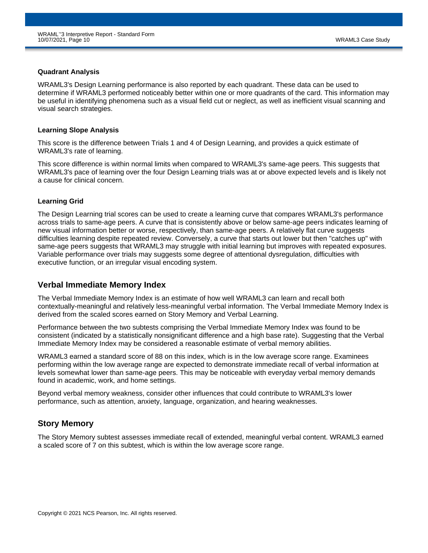#### **Quadrant Analysis**

WRAML3's Design Learning performance is also reported by each quadrant. These data can be used to determine if WRAML3 performed noticeably better within one or more quadrants of the card. This information may be useful in identifying phenomena such as a visual field cut or neglect, as well as inefficient visual scanning and visual search strategies.

#### **Learning Slope Analysis**

This score is the difference between Trials 1 and 4 of Design Learning, and provides a quick estimate of WRAML3's rate of learning.

This score difference is within normal limits when compared to WRAML3's same-age peers. This suggests that WRAML3's pace of learning over the four Design Learning trials was at or above expected levels and is likely not a cause for clinical concern.

### **Learning Grid**

The Design Learning trial scores can be used to create a learning curve that compares WRAML3's performance across trials to same-age peers. A curve that is consistently above or below same-age peers indicates learning of new visual information better or worse, respectively, than same-age peers. A relatively flat curve suggests difficulties learning despite repeated review. Conversely, a curve that starts out lower but then "catches up" with same-age peers suggests that WRAML3 may struggle with initial learning but improves with repeated exposures. Variable performance over trials may suggests some degree of attentional dysregulation, difficulties with executive function, or an irregular visual encoding system.

### **Verbal Immediate Memory Index**

The Verbal Immediate Memory Index is an estimate of how well WRAML3 can learn and recall both contextually-meaningful and relatively less-meaningful verbal information. The Verbal Immediate Memory Index is derived from the scaled scores earned on Story Memory and Verbal Learning.

Performance between the two subtests comprising the Verbal Immediate Memory Index was found to be consistent (indicated by a statistically nonsignificant difference and a high base rate). Suggesting that the Verbal Immediate Memory Index may be considered a reasonable estimate of verbal memory abilities.

WRAML3 earned a standard score of 88 on this index, which is in the low average score range. Examinees performing within the low average range are expected to demonstrate immediate recall of verbal information at levels somewhat lower than same-age peers. This may be noticeable with everyday verbal memory demands found in academic, work, and home settings.

Beyond verbal memory weakness, consider other influences that could contribute to WRAML3's lower performance, such as attention, anxiety, language, organization, and hearing weaknesses.

### **Story Memory**

The Story Memory subtest assesses immediate recall of extended, meaningful verbal content. WRAML3 earned a scaled score of 7 on this subtest, which is within the low average score range.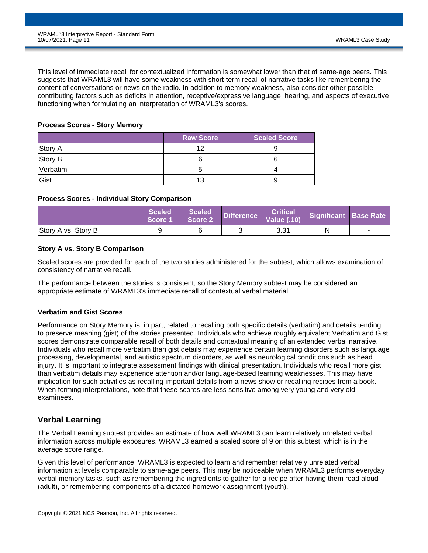This level of immediate recall for contextualized information is somewhat lower than that of same-age peers. This suggests that WRAML3 will have some weakness with short-term recall of narrative tasks like remembering the content of conversations or news on the radio. In addition to memory weakness, also consider other possible contributing factors such as deficits in attention, receptive/expressive language, hearing, and aspects of executive functioning when formulating an interpretation of WRAML3's scores.

#### **Process Scores - Story Memory**

|          | <b>Raw Score</b> | <b>Scaled Score</b> |
|----------|------------------|---------------------|
| Story A  | 1つ               |                     |
| Story B  |                  |                     |
| Verbatim |                  |                     |
| Gist     | 13               |                     |

#### **Process Scores - Individual Story Comparison**

|                     | Scaled<br><b>Score 1</b> | Scaled<br>Score 2 | <b>Critical</b><br>  Difference   Critical  <br>  Difference   Value (.10) | Significant Base Rate |  |
|---------------------|--------------------------|-------------------|----------------------------------------------------------------------------|-----------------------|--|
| Story A vs. Story B |                          |                   | 3.31                                                                       | N                     |  |

### **Story A vs. Story B Comparison**

Scaled scores are provided for each of the two stories administered for the subtest, which allows examination of consistency of narrative recall.

The performance between the stories is consistent, so the Story Memory subtest may be considered an appropriate estimate of WRAML3's immediate recall of contextual verbal material.

#### **Verbatim and Gist Scores**

Performance on Story Memory is, in part, related to recalling both specific details (verbatim) and details tending to preserve meaning (gist) of the stories presented. Individuals who achieve roughly equivalent Verbatim and Gist scores demonstrate comparable recall of both details and contextual meaning of an extended verbal narrative. Individuals who recall more verbatim than gist details may experience certain learning disorders such as language processing, developmental, and autistic spectrum disorders, as well as neurological conditions such as head injury. It is important to integrate assessment findings with clinical presentation. Individuals who recall more gist than verbatim details may experience attention and/or language-based learning weaknesses. This may have implication for such activities as recalling important details from a news show or recalling recipes from a book. When forming interpretations, note that these scores are less sensitive among very young and very old examinees.

### **Verbal Learning**

The Verbal Learning subtest provides an estimate of how well WRAML3 can learn relatively unrelated verbal information across multiple exposures. WRAML3 earned a scaled score of 9 on this subtest, which is in the average score range.

Given this level of performance, WRAML3 is expected to learn and remember relatively unrelated verbal information at levels comparable to same-age peers. This may be noticeable when WRAML3 performs everyday verbal memory tasks, such as remembering the ingredients to gather for a recipe after having them read aloud (adult), or remembering components of a dictated homework assignment (youth).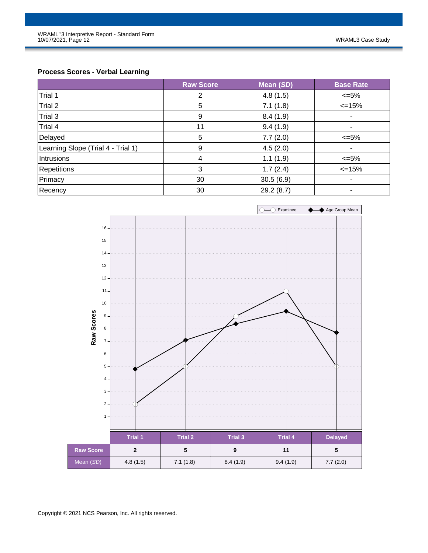### **Process Scores - Verbal Learning**

|                                    | <b>Raw Score</b> | Mean (SD) | <b>Base Rate</b> |
|------------------------------------|------------------|-----------|------------------|
| Trial 1                            | 2                | 4.8(1.5)  | $\leq 5\%$       |
| Trial 2                            | 5                | 7.1(1.8)  | $\leq$ 15%       |
| Trial 3                            | 9                | 8.4(1.9)  | $\blacksquare$   |
| Trial 4                            | 11               | 9.4(1.9)  |                  |
| Delayed                            | 5                | 7.7(2.0)  | $\leq 5\%$       |
| Learning Slope (Trial 4 - Trial 1) | 9                | 4.5(2.0)  | ۰                |
| Intrusions                         | 4                | 1.1(1.9)  | $\leq 5\%$       |
| Repetitions                        | 3                | 1.7(2.4)  | $\leq 15\%$      |
| Primacy                            | 30               | 30.5(6.9) | ۰                |
| Recency                            | 30               | 29.2(8.7) | ٠                |

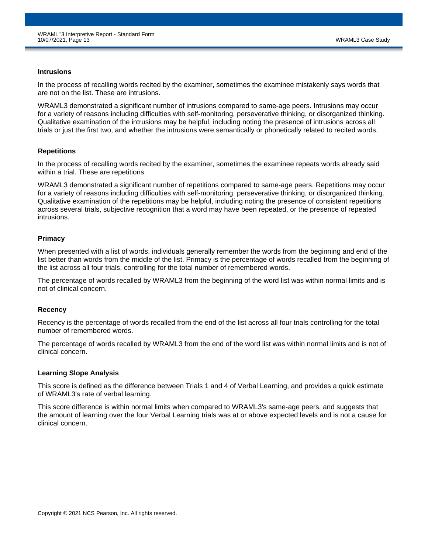#### **Intrusions**

In the process of recalling words recited by the examiner, sometimes the examinee mistakenly says words that are not on the list. These are intrusions.

WRAML3 demonstrated a significant number of intrusions compared to same-age peers. Intrusions may occur for a variety of reasons including difficulties with self-monitoring, perseverative thinking, or disorganized thinking. Qualitative examination of the intrusions may be helpful, including noting the presence of intrusions across all trials or just the first two, and whether the intrusions were semantically or phonetically related to recited words.

#### **Repetitions**

In the process of recalling words recited by the examiner, sometimes the examinee repeats words already said within a trial. These are repetitions.

WRAML3 demonstrated a significant number of repetitions compared to same-age peers. Repetitions may occur for a variety of reasons including difficulties with self-monitoring, perseverative thinking, or disorganized thinking. Qualitative examination of the repetitions may be helpful, including noting the presence of consistent repetitions across several trials, subjective recognition that a word may have been repeated, or the presence of repeated intrusions.

#### **Primacy**

When presented with a list of words, individuals generally remember the words from the beginning and end of the list better than words from the middle of the list. Primacy is the percentage of words recalled from the beginning of the list across all four trials, controlling for the total number of remembered words.

The percentage of words recalled by WRAML3 from the beginning of the word list was within normal limits and is not of clinical concern.

#### **Recency**

Recency is the percentage of words recalled from the end of the list across all four trials controlling for the total number of remembered words.

The percentage of words recalled by WRAML3 from the end of the word list was within normal limits and is not of clinical concern.

#### **Learning Slope Analysis**

This score is defined as the difference between Trials 1 and 4 of Verbal Learning, and provides a quick estimate of WRAML3's rate of verbal learning.

This score difference is within normal limits when compared to WRAML3's same-age peers, and suggests that the amount of learning over the four Verbal Learning trials was at or above expected levels and is not a cause for clinical concern.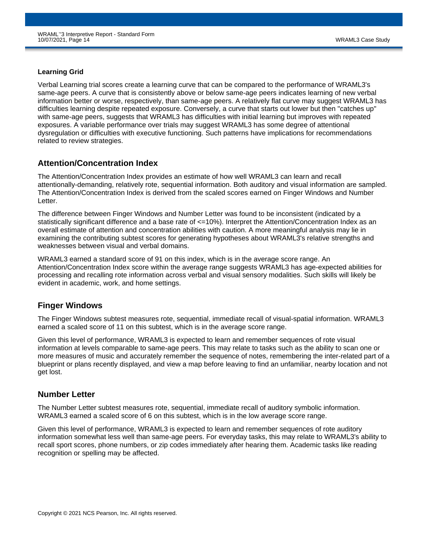### **Learning Grid**

Verbal Learning trial scores create a learning curve that can be compared to the performance of WRAML3's same-age peers. A curve that is consistently above or below same-age peers indicates learning of new verbal information better or worse, respectively, than same-age peers. A relatively flat curve may suggest WRAML3 has difficulties learning despite repeated exposure. Conversely, a curve that starts out lower but then "catches up" with same-age peers, suggests that WRAML3 has difficulties with initial learning but improves with repeated exposures. A variable performance over trials may suggest WRAML3 has some degree of attentional dysregulation or difficulties with executive functioning. Such patterns have implications for recommendations related to review strategies.

### **Attention/Concentration Index**

The Attention/Concentration Index provides an estimate of how well WRAML3 can learn and recall attentionally-demanding, relatively rote, sequential information. Both auditory and visual information are sampled. The Attention/Concentration Index is derived from the scaled scores earned on Finger Windows and Number Letter.

The difference between Finger Windows and Number Letter was found to be inconsistent (indicated by a statistically significant difference and a base rate of <=10%). Interpret the Attention/Concentration Index as an overall estimate of attention and concentration abilities with caution. A more meaningful analysis may lie in examining the contributing subtest scores for generating hypotheses about WRAML3's relative strengths and weaknesses between visual and verbal domains.

WRAML3 earned a standard score of 91 on this index, which is in the average score range. An Attention/Concentration Index score within the average range suggests WRAML3 has age-expected abilities for processing and recalling rote information across verbal and visual sensory modalities. Such skills will likely be evident in academic, work, and home settings.

### **Finger Windows**

The Finger Windows subtest measures rote, sequential, immediate recall of visual-spatial information. WRAML3 earned a scaled score of 11 on this subtest, which is in the average score range.

Given this level of performance, WRAML3 is expected to learn and remember sequences of rote visual information at levels comparable to same-age peers. This may relate to tasks such as the ability to scan one or more measures of music and accurately remember the sequence of notes, remembering the inter-related part of a blueprint or plans recently displayed, and view a map before leaving to find an unfamiliar, nearby location and not get lost.

### **Number Letter**

The Number Letter subtest measures rote, sequential, immediate recall of auditory symbolic information. WRAML3 earned a scaled score of 6 on this subtest, which is in the low average score range.

Given this level of performance, WRAML3 is expected to learn and remember sequences of rote auditory information somewhat less well than same-age peers. For everyday tasks, this may relate to WRAML3's ability to recall sport scores, phone numbers, or zip codes immediately after hearing them. Academic tasks like reading recognition or spelling may be affected.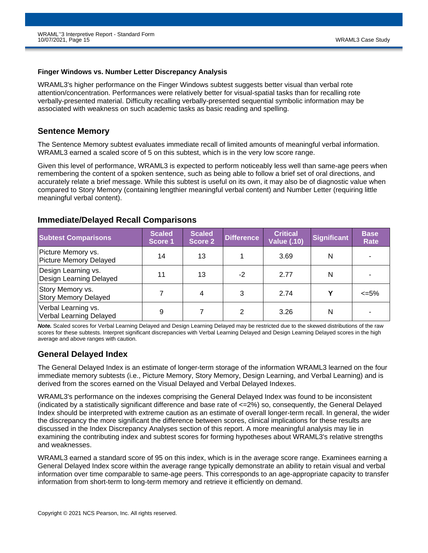#### **Finger Windows vs. Number Letter Discrepancy Analysis**

WRAML3's higher performance on the Finger Windows subtest suggests better visual than verbal rote attention/concentration. Performances were relatively better for visual-spatial tasks than for recalling rote verbally-presented material. Difficulty recalling verbally-presented sequential symbolic information may be associated with weakness on such academic tasks as basic reading and spelling.

### **Sentence Memory**

The Sentence Memory subtest evaluates immediate recall of limited amounts of meaningful verbal information. WRAML3 earned a scaled score of 5 on this subtest, which is in the very low score range.

Given this level of performance, WRAML3 is expected to perform noticeably less well than same-age peers when remembering the content of a spoken sentence, such as being able to follow a brief set of oral directions, and accurately relate a brief message. While this subtest is useful on its own, it may also be of diagnostic value when compared to Story Memory (containing lengthier meaningful verbal content) and Number Letter (requiring little meaningful verbal content).

### **Immediate/Delayed Recall Comparisons**

| <b>Subtest Comparisons</b>                      | <b>Scaled</b><br><b>Score 1</b> | <b>Scaled</b><br>Score 2 | <b>Difference</b> | <b>Critical</b><br>Value (.10) | <b>Significant</b> | <b>Base</b><br>Rate |
|-------------------------------------------------|---------------------------------|--------------------------|-------------------|--------------------------------|--------------------|---------------------|
| Picture Memory vs.<br>Picture Memory Delayed    | 14                              | 13                       |                   | 3.69                           | N                  |                     |
| Design Learning vs.<br>Design Learning Delayed  | 11                              | 13                       | $-2$              | 2.77                           | N                  |                     |
| Story Memory vs.<br><b>Story Memory Delayed</b> |                                 | 4                        | 3                 | 2.74                           | v                  | <=5%                |
| Verbal Learning vs.<br>Verbal Learning Delayed  | 9                               |                          | 2                 | 3.26                           | N                  |                     |

*Note.* Scaled scores for Verbal Learning Delayed and Design Learning Delayed may be restricted due to the skewed distributions of the raw scores for these subtests. Interpret significant discrepancies with Verbal Learning Delayed and Design Learning Delayed scores in the high average and above ranges with caution.

### **General Delayed Index**

The General Delayed Index is an estimate of longer-term storage of the information WRAML3 learned on the four immediate memory subtests (i.e., Picture Memory, Story Memory, Design Learning, and Verbal Learning) and is derived from the scores earned on the Visual Delayed and Verbal Delayed Indexes.

WRAML3's performance on the indexes comprising the General Delayed Index was found to be inconsistent (indicated by a statistically significant difference and base rate of <=2%) so, consequently, the General Delayed Index should be interpreted with extreme caution as an estimate of overall longer-term recall. In general, the wider the discrepancy the more significant the difference between scores, clinical implications for these results are discussed in the Index Discrepancy Analyses section of this report. A more meaningful analysis may lie in examining the contributing index and subtest scores for forming hypotheses about WRAML3's relative strengths and weaknesses.

WRAML3 earned a standard score of 95 on this index, which is in the average score range. Examinees earning a General Delayed Index score within the average range typically demonstrate an ability to retain visual and verbal information over time comparable to same-age peers. This corresponds to an age-appropriate capacity to transfer information from short-term to long-term memory and retrieve it efficiently on demand.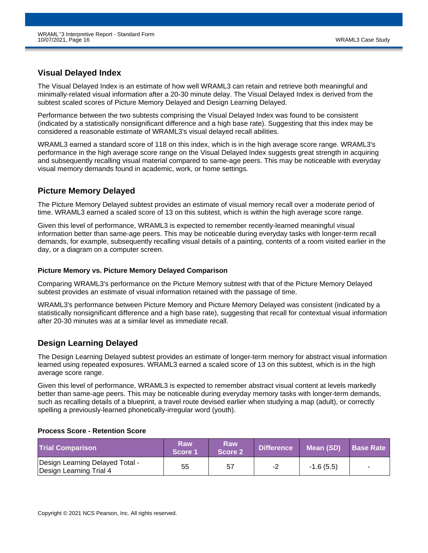### **Visual Delayed Index**

The Visual Delayed Index is an estimate of how well WRAML3 can retain and retrieve both meaningful and minimally-related visual information after a 20-30 minute delay. The Visual Delayed Index is derived from the subtest scaled scores of Picture Memory Delayed and Design Learning Delayed.

Performance between the two subtests comprising the Visual Delayed Index was found to be consistent (indicated by a statistically nonsignificant difference and a high base rate). Suggesting that this index may be considered a reasonable estimate of WRAML3's visual delayed recall abilities.

WRAML3 earned a standard score of 118 on this index, which is in the high average score range. WRAML3's performance in the high average score range on the Visual Delayed Index suggests great strength in acquiring and subsequently recalling visual material compared to same-age peers. This may be noticeable with everyday visual memory demands found in academic, work, or home settings.

### **Picture Memory Delayed**

The Picture Memory Delayed subtest provides an estimate of visual memory recall over a moderate period of time. WRAML3 earned a scaled score of 13 on this subtest, which is within the high average score range.

Given this level of performance, WRAML3 is expected to remember recently-learned meaningful visual information better than same-age peers. This may be noticeable during everyday tasks with longer-term recall demands, for example, subsequently recalling visual details of a painting, contents of a room visited earlier in the day, or a diagram on a computer screen.

### **Picture Memory vs. Picture Memory Delayed Comparison**

Comparing WRAML3's performance on the Picture Memory subtest with that of the Picture Memory Delayed subtest provides an estimate of visual information retained with the passage of time.

WRAML3's performance between Picture Memory and Picture Memory Delayed was consistent (indicated by a statistically nonsignificant difference and a high base rate), suggesting that recall for contextual visual information after 20-30 minutes was at a similar level as immediate recall.

### **Design Learning Delayed**

The Design Learning Delayed subtest provides an estimate of longer-term memory for abstract visual information learned using repeated exposures. WRAML3 earned a scaled score of 13 on this subtest, which is in the high average score range.

Given this level of performance, WRAML3 is expected to remember abstract visual content at levels markedly better than same-age peers. This may be noticeable during everyday memory tasks with longer-term demands, such as recalling details of a blueprint, a travel route devised earlier when studying a map (adult), or correctly spelling a previously-learned phonetically-irregular word (youth).

### **Process Score - Retention Score**

| <b>Trial Comparison</b>                                    | Raw<br>Score 1 | <b>Raw</b><br>Score 2 | <b>Difference</b> | Mean (SD)   | <b>Base Rate</b> |
|------------------------------------------------------------|----------------|-----------------------|-------------------|-------------|------------------|
| Design Learning Delayed Total -<br>Design Learning Trial 4 | 55             | 57                    | -2                | $-1.6(5.5)$ |                  |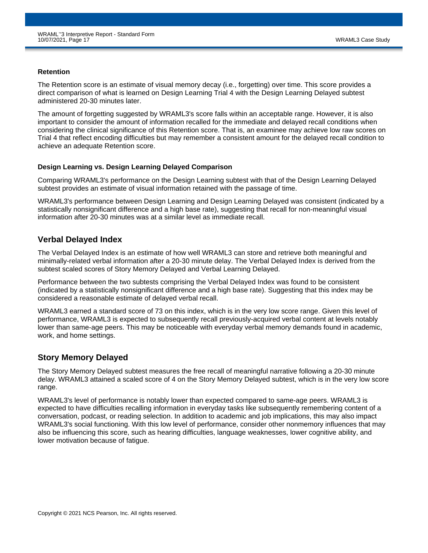#### **Retention**

The Retention score is an estimate of visual memory decay (i.e., forgetting) over time. This score provides a direct comparison of what is learned on Design Learning Trial 4 with the Design Learning Delayed subtest administered 20-30 minutes later.

The amount of forgetting suggested by WRAML3's score falls within an acceptable range. However, it is also important to consider the amount of information recalled for the immediate and delayed recall conditions when considering the clinical significance of this Retention score. That is, an examinee may achieve low raw scores on Trial 4 that reflect encoding difficulties but may remember a consistent amount for the delayed recall condition to achieve an adequate Retention score.

### **Design Learning vs. Design Learning Delayed Comparison**

Comparing WRAML3's performance on the Design Learning subtest with that of the Design Learning Delayed subtest provides an estimate of visual information retained with the passage of time.

WRAML3's performance between Design Learning and Design Learning Delayed was consistent (indicated by a statistically nonsignificant difference and a high base rate), suggesting that recall for non-meaningful visual information after 20-30 minutes was at a similar level as immediate recall.

### **Verbal Delayed Index**

The Verbal Delayed Index is an estimate of how well WRAML3 can store and retrieve both meaningful and minimally-related verbal information after a 20-30 minute delay. The Verbal Delayed Index is derived from the subtest scaled scores of Story Memory Delayed and Verbal Learning Delayed.

Performance between the two subtests comprising the Verbal Delayed Index was found to be consistent (indicated by a statistically nonsignificant difference and a high base rate). Suggesting that this index may be considered a reasonable estimate of delayed verbal recall.

WRAML3 earned a standard score of 73 on this index, which is in the very low score range. Given this level of performance, WRAML3 is expected to subsequently recall previously-acquired verbal content at levels notably lower than same-age peers. This may be noticeable with everyday verbal memory demands found in academic, work, and home settings.

### **Story Memory Delayed**

The Story Memory Delayed subtest measures the free recall of meaningful narrative following a 20-30 minute delay. WRAML3 attained a scaled score of 4 on the Story Memory Delayed subtest, which is in the very low score range.

WRAML3's level of performance is notably lower than expected compared to same-age peers. WRAML3 is expected to have difficulties recalling information in everyday tasks like subsequently remembering content of a conversation, podcast, or reading selection. In addition to academic and job implications, this may also impact WRAML3's social functioning. With this low level of performance, consider other nonmemory influences that may also be influencing this score, such as hearing difficulties, language weaknesses, lower cognitive ability, and lower motivation because of fatigue.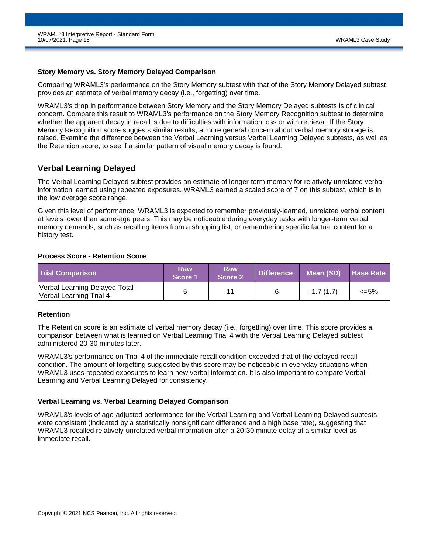#### **Story Memory vs. Story Memory Delayed Comparison**

Comparing WRAML3's performance on the Story Memory subtest with that of the Story Memory Delayed subtest provides an estimate of verbal memory decay (i.e., forgetting) over time.

WRAML3's drop in performance between Story Memory and the Story Memory Delayed subtests is of clinical concern. Compare this result to WRAML3's performance on the Story Memory Recognition subtest to determine whether the apparent decay in recall is due to difficulties with information loss or with retrieval. If the Story Memory Recognition score suggests similar results, a more general concern about verbal memory storage is raised. Examine the difference between the Verbal Learning versus Verbal Learning Delayed subtests, as well as the Retention score, to see if a similar pattern of visual memory decay is found.

### **Verbal Learning Delayed**

The Verbal Learning Delayed subtest provides an estimate of longer-term memory for relatively unrelated verbal information learned using repeated exposures. WRAML3 earned a scaled score of 7 on this subtest, which is in the low average score range.

Given this level of performance, WRAML3 is expected to remember previously-learned, unrelated verbal content at levels lower than same-age peers. This may be noticeable during everyday tasks with longer-term verbal memory demands, such as recalling items from a shopping list, or remembering specific factual content for a history test.

#### **Process Score - Retention Score**

| <b>Trial Comparison</b>                                    | Raw<br>Score 1 | Raw<br>Score 2 | <b>Difference</b> | Mean (SD)   | <b>Base Rate</b> |
|------------------------------------------------------------|----------------|----------------|-------------------|-------------|------------------|
| Verbal Learning Delayed Total -<br>Verbal Learning Trial 4 |                |                | -6                | $-1.7(1.7)$ | $\epsilon = 5\%$ |

#### **Retention**

The Retention score is an estimate of verbal memory decay (i.e., forgetting) over time. This score provides a comparison between what is learned on Verbal Learning Trial 4 with the Verbal Learning Delayed subtest administered 20-30 minutes later.

WRAML3's performance on Trial 4 of the immediate recall condition exceeded that of the delayed recall condition. The amount of forgetting suggested by this score may be noticeable in everyday situations when WRAML3 uses repeated exposures to learn new verbal information. It is also important to compare Verbal Learning and Verbal Learning Delayed for consistency.

### **Verbal Learning vs. Verbal Learning Delayed Comparison**

WRAML3's levels of age-adjusted performance for the Verbal Learning and Verbal Learning Delayed subtests were consistent (indicated by a statistically nonsignificant difference and a high base rate), suggesting that WRAML3 recalled relatively-unrelated verbal information after a 20-30 minute delay at a similar level as immediate recall.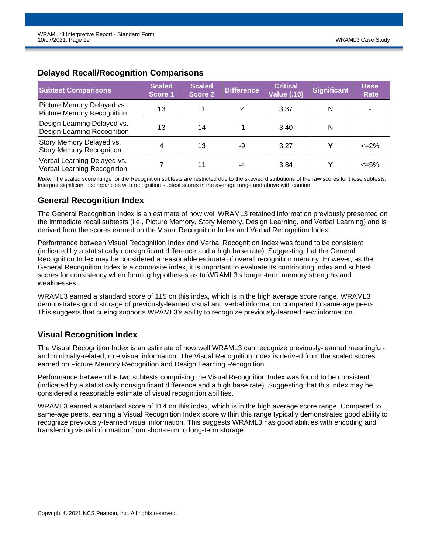| <b>Subtest Comparisons</b>                                        | <b>Scaled</b><br>Score 1 | <b>Scaled</b><br><b>Score 2</b> | <b>Difference</b> | <b>Critical</b><br><b>Value (.10)</b> | <b>Significant</b> | <b>Base</b><br>Rate |
|-------------------------------------------------------------------|--------------------------|---------------------------------|-------------------|---------------------------------------|--------------------|---------------------|
| Picture Memory Delayed vs.<br>Picture Memory Recognition          | 13                       | 11                              | 2                 | 3.37                                  | N                  |                     |
| Design Learning Delayed vs.<br><b>Design Learning Recognition</b> | 13                       | 14                              | -1                | 3.40                                  | N                  | -                   |
| Story Memory Delayed vs.<br><b>Story Memory Recognition</b>       | 4                        | 13                              | -9                | 3.27                                  | γ                  | $\leq$ 2%           |
| Verbal Learning Delayed vs.<br>Verbal Learning Recognition        |                          | 11                              | -4                | 3.84                                  | v                  | $<=5\%$             |

### **Delayed Recall/Recognition Comparisons**

**Note.** The scaled score range for the Recognition subtests are restricted due to the skewed distributions of the raw scores for these subtests. Interpret significant discrepancies with recognition subtest scores in the average range and above with caution.

### **General Recognition Index**

The General Recognition Index is an estimate of how well WRAML3 retained information previously presented on the immediate recall subtests (i.e., Picture Memory, Story Memory, Design Learning, and Verbal Learning) and is derived from the scores earned on the Visual Recognition Index and Verbal Recognition Index.

Performance between Visual Recognition Index and Verbal Recognition Index was found to be consistent (indicated by a statistically nonsignificant difference and a high base rate). Suggesting that the General Recognition Index may be considered a reasonable estimate of overall recognition memory. However, as the General Recognition Index is a composite index, it is important to evaluate its contributing index and subtest scores for consistency when forming hypotheses as to WRAML3's longer-term memory strengths and weaknesses.

WRAML3 earned a standard score of 115 on this index, which is in the high average score range. WRAML3 demonstrates good storage of previously-learned visual and verbal information compared to same-age peers. This suggests that cueing supports WRAML3's ability to recognize previously-learned new information.

### **Visual Recognition Index**

The Visual Recognition Index is an estimate of how well WRAML3 can recognize previously-learned meaningfuland minimally-related, rote visual information. The Visual Recognition Index is derived from the scaled scores earned on Picture Memory Recognition and Design Learning Recognition.

Performance between the two subtests comprising the Visual Recognition Index was found to be consistent (indicated by a statistically nonsignificant difference and a high base rate). Suggesting that this index may be considered a reasonable estimate of visual recognition abilities.

WRAML3 earned a standard score of 114 on this index, which is in the high average score range. Compared to same-age peers, earning a Visual Recognition Index score within this range typically demonstrates good ability to recognize previously-learned visual information. This suggests WRAML3 has good abilities with encoding and transferring visual information from short-term to long-term storage.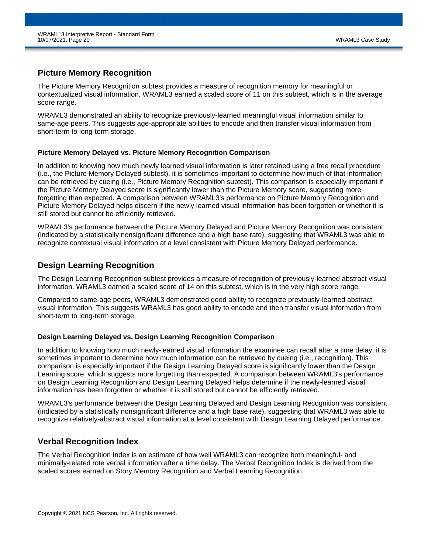### **Picture Memory Recognition**

The Picture Memory Recognition subtest provides a measure of recognition memory for meaningful or contextualized visual information. WRAML3 earned a scaled score of 11 on this subtest, which is in the average score range.

WRAML3 demonstrated an ability to recognize previously-learned meaningful visual information similar to same-age peers. This suggests age-appropriate abilities to encode and then transfer visual information from short-term to long-term storage.

### **Picture Memory Delayed vs. Picture Memory Recognition Comparison**

In addition to knowing how much newly learned visual information is later retained using a free recall procedure (i.e., the Picture Memory Delayed subtest), it is sometimes important to determine how much of that information can be retrieved by cueing (i.e., Picture Memory Recognition subtest). This comparison is especially important if the Picture Memory Delayed score is significantly lower than the Picture Memory score, suggesting more forgetting than expected. A comparison between WRAML3's performance on Picture Memory Recognition and Picture Memory Delayed helps discern if the newly learned visual information has been forgotten or whether it is still stored but cannot be efficiently retrieved.

WRAML3's performance between the Picture Memory Delayed and Picture Memory Recognition was consistent (indicated by a statistically nonsignificant difference and a high base rate), suggesting that WRAML3 was able to recognize contextual visual information at a level consistent with Picture Memory Delayed performance.

### **Design Learning Recognition**

The Design Learning Recognition subtest provides a measure of recognition of previously-learned abstract visual information. WRAML3 earned a scaled score of 14 on this subtest, which is in the very high score range.

Compared to same-age peers, WRAML3 demonstrated good ability to recognize previously-learned abstract visual information. This suggests WRAML3 has good ability to encode and then transfer visual information from short-term to long-term storage.

### **Design Learning Delayed vs. Design Learning Recognition Comparison**

In addition to knowing how much newly-learned visual information the examinee can recall after a time delay, it is sometimes important to determine how much information can be retrieved by cueing (i.e., recognition). This comparison is especially important if the Design Learning Delayed score is significantly lower than the Design Learning score, which suggests more forgetting than expected. A comparison between WRAML3's performance on Design Learning Recognition and Design Learning Delayed helps determine if the newly-learned visual information has been forgotten or whether it is still stored but cannot be efficiently retrieved.

WRAML3's performance between the Design Learning Delayed and Design Learning Recognition was consistent (indicated by a statistically nonsignificant difference and a high base rate), suggesting that WRAML3 was able to recognize relatively-abstract visual information at a level consistent with Design Learning Delayed performance.

### **Verbal Recognition Index**

The Verbal Recognition Index is an estimate of how well WRAML3 can recognize both meaningful- and minimally-related rote verbal information after a time delay. The Verbal Recognition Index is derived from the scaled scores earned on Story Memory Recognition and Verbal Learning Recognition.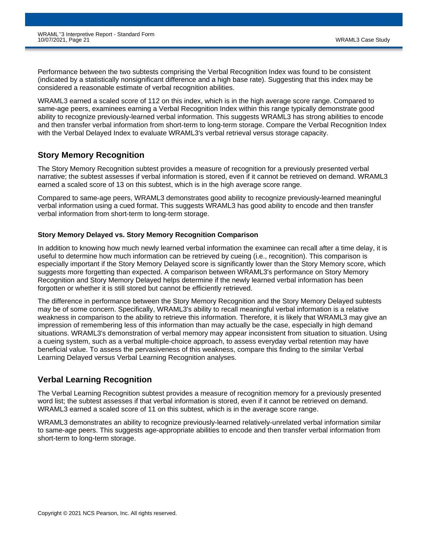Performance between the two subtests comprising the Verbal Recognition Index was found to be consistent (indicated by a statistically nonsignificant difference and a high base rate). Suggesting that this index may be considered a reasonable estimate of verbal recognition abilities.

WRAML3 earned a scaled score of 112 on this index, which is in the high average score range. Compared to same-age peers, examinees earning a Verbal Recognition Index within this range typically demonstrate good ability to recognize previously-learned verbal information. This suggests WRAML3 has strong abilities to encode and then transfer verbal information from short-term to long-term storage. Compare the Verbal Recognition Index with the Verbal Delayed Index to evaluate WRAML3's verbal retrieval versus storage capacity.

### **Story Memory Recognition**

The Story Memory Recognition subtest provides a measure of recognition for a previously presented verbal narrative; the subtest assesses if verbal information is stored, even if it cannot be retrieved on demand. WRAML3 earned a scaled score of 13 on this subtest, which is in the high average score range.

Compared to same-age peers, WRAML3 demonstrates good ability to recognize previously-learned meaningful verbal information using a cued format. This suggests WRAML3 has good ability to encode and then transfer verbal information from short-term to long-term storage.

### **Story Memory Delayed vs. Story Memory Recognition Comparison**

In addition to knowing how much newly learned verbal information the examinee can recall after a time delay, it is useful to determine how much information can be retrieved by cueing (i.e., recognition). This comparison is especially important if the Story Memory Delayed score is significantly lower than the Story Memory score, which suggests more forgetting than expected. A comparison between WRAML3's performance on Story Memory Recognition and Story Memory Delayed helps determine if the newly learned verbal information has been forgotten or whether it is still stored but cannot be efficiently retrieved.

The difference in performance between the Story Memory Recognition and the Story Memory Delayed subtests may be of some concern. Specifically, WRAML3's ability to recall meaningful verbal information is a relative weakness in comparison to the ability to retrieve this information. Therefore, it is likely that WRAML3 may give an impression of remembering less of this information than may actually be the case, especially in high demand situations. WRAML3's demonstration of verbal memory may appear inconsistent from situation to situation. Using a cueing system, such as a verbal multiple-choice approach, to assess everyday verbal retention may have beneficial value. To assess the pervasiveness of this weakness, compare this finding to the similar Verbal Learning Delayed versus Verbal Learning Recognition analyses.

### **Verbal Learning Recognition**

The Verbal Learning Recognition subtest provides a measure of recognition memory for a previously presented word list; the subtest assesses if that verbal information is stored, even if it cannot be retrieved on demand. WRAML3 earned a scaled score of 11 on this subtest, which is in the average score range.

WRAML3 demonstrates an ability to recognize previously-learned relatively-unrelated verbal information similar to same-age peers. This suggests age-appropriate abilities to encode and then transfer verbal information from short-term to long-term storage.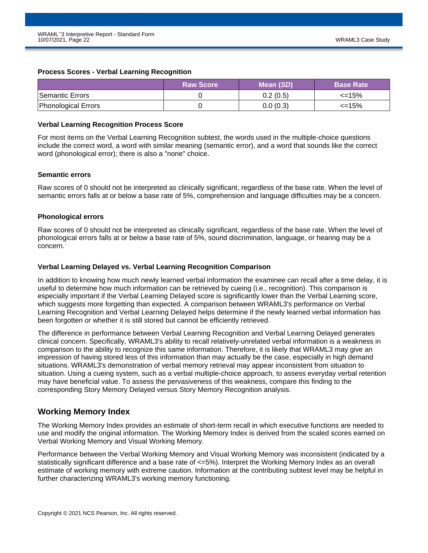#### **Process Scores - Verbal Learning Recognition**

|                            | <b>Raw Score</b> | Mean (SD) | <b>Base Rate</b> |
|----------------------------|------------------|-----------|------------------|
| Semantic Errors            |                  | 0.2(0.5)  | $\leq$ 15%       |
| <b>Phonological Errors</b> |                  | 0.0(0.3)  | $\leq$ 15%       |

#### **Verbal Learning Recognition Process Score**

For most items on the Verbal Learning Recognition subtest, the words used in the multiple-choice questions include the correct word, a word with similar meaning (semantic error), and a word that sounds like the correct word (phonological error); there is also a "none" choice.

### **Semantic errors**

Raw scores of 0 should not be interpreted as clinically significant, regardless of the base rate. When the level of semantic errors falls at or below a base rate of 5%, comprehension and language difficulties may be a concern.

#### **Phonological errors**

Raw scores of 0 should not be interpreted as clinically significant, regardless of the base rate. When the level of phonological errors falls at or below a base rate of 5%, sound discrimination, language, or hearing may be a concern.

### **Verbal Learning Delayed vs. Verbal Learning Recognition Comparison**

In addition to knowing how much newly learned verbal information the examinee can recall after a time delay, it is useful to determine how much information can be retrieved by cueing (i.e., recognition). This comparison is especially important if the Verbal Learning Delayed score is significantly lower than the Verbal Learning score, which suggests more forgetting than expected. A comparison between WRAML3's performance on Verbal Learning Recognition and Verbal Learning Delayed helps determine if the newly learned verbal information has been forgotten or whether it is still stored but cannot be efficiently retrieved.

The difference in performance between Verbal Learning Recognition and Verbal Learning Delayed generates clinical concern. Specifically, WRAML3's ability to recall relatively-unrelated verbal information is a weakness in comparison to the ability to recognize this same information. Therefore, it is likely that WRAML3 may give an impression of having stored less of this information than may actually be the case, especially in high demand situations. WRAML3's demonstration of verbal memory retrieval may appear inconsistent from situation to situation. Using a cueing system, such as a verbal multiple-choice approach, to assess everyday verbal retention may have beneficial value. To assess the pervasiveness of this weakness, compare this finding to the corresponding Story Memory Delayed versus Story Memory Recognition analysis.

### **Working Memory Index**

The Working Memory Index provides an estimate of short-term recall in which executive functions are needed to use and modify the original information. The Working Memory Index is derived from the scaled scores earned on Verbal Working Memory and Visual Working Memory.

Performance between the Verbal Working Memory and Visual Working Memory was inconsistent (indicated by a statistically significant difference and a base rate of <=5%). Interpret the Working Memory Index as an overall estimate of working memory with extreme caution. Information at the contributing subtest level may be helpful in further characterizing WRAML3's working memory functioning.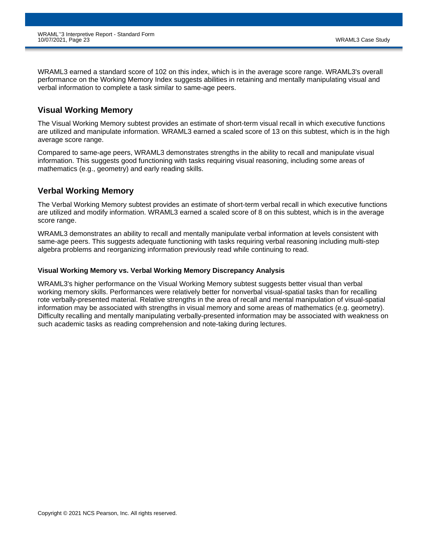WRAML3 earned a standard score of 102 on this index, which is in the average score range. WRAML3's overall performance on the Working Memory Index suggests abilities in retaining and mentally manipulating visual and verbal information to complete a task similar to same-age peers.

### **Visual Working Memory**

The Visual Working Memory subtest provides an estimate of short-term visual recall in which executive functions are utilized and manipulate information. WRAML3 earned a scaled score of 13 on this subtest, which is in the high average score range.

Compared to same-age peers, WRAML3 demonstrates strengths in the ability to recall and manipulate visual information. This suggests good functioning with tasks requiring visual reasoning, including some areas of mathematics (e.g., geometry) and early reading skills.

### **Verbal Working Memory**

The Verbal Working Memory subtest provides an estimate of short-term verbal recall in which executive functions are utilized and modify information. WRAML3 earned a scaled score of 8 on this subtest, which is in the average score range.

WRAML3 demonstrates an ability to recall and mentally manipulate verbal information at levels consistent with same-age peers. This suggests adequate functioning with tasks requiring verbal reasoning including multi-step algebra problems and reorganizing information previously read while continuing to read.

### **Visual Working Memory vs. Verbal Working Memory Discrepancy Analysis**

WRAML3's higher performance on the Visual Working Memory subtest suggests better visual than verbal working memory skills. Performances were relatively better for nonverbal visual-spatial tasks than for recalling rote verbally-presented material. Relative strengths in the area of recall and mental manipulation of visual-spatial information may be associated with strengths in visual memory and some areas of mathematics (e.g. geometry). Difficulty recalling and mentally manipulating verbally-presented information may be associated with weakness on such academic tasks as reading comprehension and note-taking during lectures.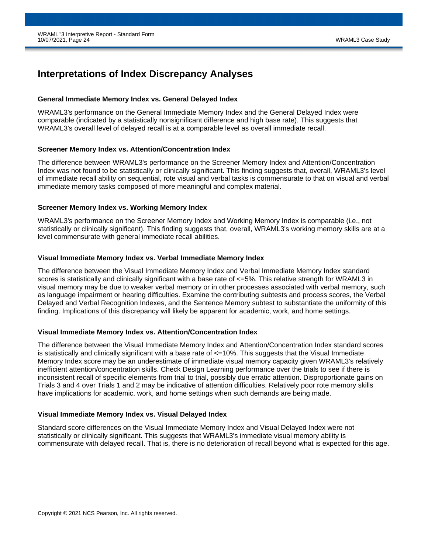# **Interpretations of Index Discrepancy Analyses**

#### **General Immediate Memory Index vs. General Delayed Index**

WRAML3's performance on the General Immediate Memory Index and the General Delayed Index were comparable (indicated by a statistically nonsignificant difference and high base rate). This suggests that WRAML3's overall level of delayed recall is at a comparable level as overall immediate recall.

#### **Screener Memory Index vs. Attention/Concentration Index**

The difference between WRAML3's performance on the Screener Memory Index and Attention/Concentration Index was not found to be statistically or clinically significant. This finding suggests that, overall, WRAML3's level of immediate recall ability on sequential, rote visual and verbal tasks is commensurate to that on visual and verbal immediate memory tasks composed of more meaningful and complex material.

#### **Screener Memory Index vs. Working Memory Index**

WRAML3's performance on the Screener Memory Index and Working Memory Index is comparable (i.e., not statistically or clinically significant). This finding suggests that, overall, WRAML3's working memory skills are at a level commensurate with general immediate recall abilities.

#### **Visual Immediate Memory Index vs. Verbal Immediate Memory Index**

The difference between the Visual Immediate Memory Index and Verbal Immediate Memory Index standard scores is statistically and clinically significant with a base rate of  $\leq$ =5%. This relative strength for WRAML3 in visual memory may be due to weaker verbal memory or in other processes associated with verbal memory, such as language impairment or hearing difficulties. Examine the contributing subtests and process scores, the Verbal Delayed and Verbal Recognition Indexes, and the Sentence Memory subtest to substantiate the uniformity of this finding. Implications of this discrepancy will likely be apparent for academic, work, and home settings.

### **Visual Immediate Memory Index vs. Attention/Concentration Index**

The difference between the Visual Immediate Memory Index and Attention/Concentration Index standard scores is statistically and clinically significant with a base rate of  $\leq$ =10%. This suggests that the Visual Immediate Memory Index score may be an underestimate of immediate visual memory capacity given WRAML3's relatively inefficient attention/concentration skills. Check Design Learning performance over the trials to see if there is inconsistent recall of specific elements from trial to trial, possibly due erratic attention. Disproportionate gains on Trials 3 and 4 over Trials 1 and 2 may be indicative of attention difficulties. Relatively poor rote memory skills have implications for academic, work, and home settings when such demands are being made.

### **Visual Immediate Memory Index vs. Visual Delayed Index**

Standard score differences on the Visual Immediate Memory Index and Visual Delayed Index were not statistically or clinically significant. This suggests that WRAML3's immediate visual memory ability is commensurate with delayed recall. That is, there is no deterioration of recall beyond what is expected for this age.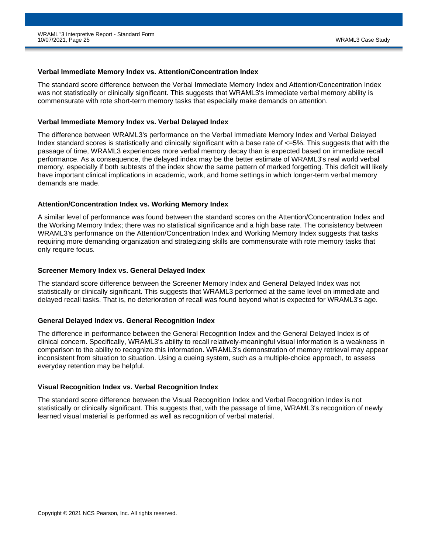#### **Verbal Immediate Memory Index vs. Attention/Concentration Index**

The standard score difference between the Verbal Immediate Memory Index and Attention/Concentration Index was not statistically or clinically significant. This suggests that WRAML3's immediate verbal memory ability is commensurate with rote short-term memory tasks that especially make demands on attention.

#### **Verbal Immediate Memory Index vs. Verbal Delayed Index**

The difference between WRAML3's performance on the Verbal Immediate Memory Index and Verbal Delayed Index standard scores is statistically and clinically significant with a base rate of  $\leq$ =5%. This suggests that with the passage of time, WRAML3 experiences more verbal memory decay than is expected based on immediate recall performance. As a consequence, the delayed index may be the better estimate of WRAML3's real world verbal memory, especially if both subtests of the index show the same pattern of marked forgetting. This deficit will likely have important clinical implications in academic, work, and home settings in which longer-term verbal memory demands are made.

#### **Attention/Concentration Index vs. Working Memory Index**

A similar level of performance was found between the standard scores on the Attention/Concentration Index and the Working Memory Index; there was no statistical significance and a high base rate. The consistency between WRAML3's performance on the Attention/Concentration Index and Working Memory Index suggests that tasks requiring more demanding organization and strategizing skills are commensurate with rote memory tasks that only require focus.

#### **Screener Memory Index vs. General Delayed Index**

The standard score difference between the Screener Memory Index and General Delayed Index was not statistically or clinically significant. This suggests that WRAML3 performed at the same level on immediate and delayed recall tasks. That is, no deterioration of recall was found beyond what is expected for WRAML3's age.

### **General Delayed Index vs. General Recognition Index**

The difference in performance between the General Recognition Index and the General Delayed Index is of clinical concern. Specifically, WRAML3's ability to recall relatively-meaningful visual information is a weakness in comparison to the ability to recognize this information. WRAML3's demonstration of memory retrieval may appear inconsistent from situation to situation. Using a cueing system, such as a multiple-choice approach, to assess everyday retention may be helpful.

#### **Visual Recognition Index vs. Verbal Recognition Index**

The standard score difference between the Visual Recognition Index and Verbal Recognition Index is not statistically or clinically significant. This suggests that, with the passage of time, WRAML3's recognition of newly learned visual material is performed as well as recognition of verbal material.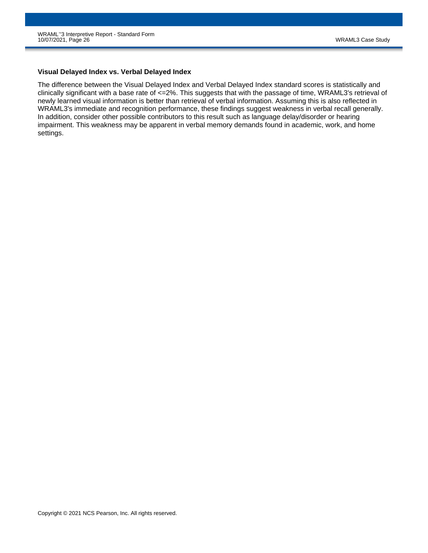#### **Visual Delayed Index vs. Verbal Delayed Index**

The difference between the Visual Delayed Index and Verbal Delayed Index standard scores is statistically and clinically significant with a base rate of <=2%. This suggests that with the passage of time, WRAML3's retrieval of newly learned visual information is better than retrieval of verbal information. Assuming this is also reflected in WRAML3's immediate and recognition performance, these findings suggest weakness in verbal recall generally. In addition, consider other possible contributors to this result such as language delay/disorder or hearing impairment. This weakness may be apparent in verbal memory demands found in academic, work, and home settings.